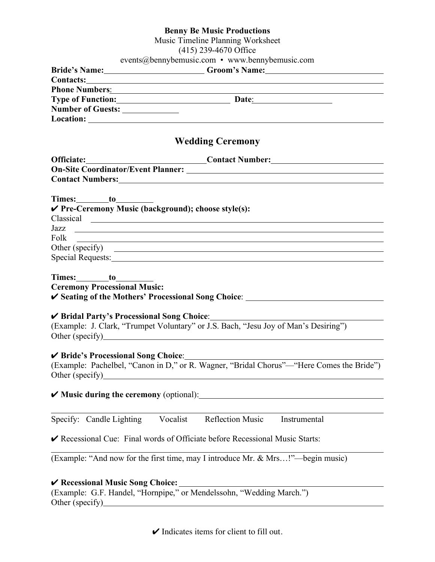|                                     | <b>Benny Be Music Productions</b>                                                                                                                                                                                              |
|-------------------------------------|--------------------------------------------------------------------------------------------------------------------------------------------------------------------------------------------------------------------------------|
|                                     | Music Timeline Planning Worksheet                                                                                                                                                                                              |
|                                     | (415) 239-4670 Office                                                                                                                                                                                                          |
|                                     | events@bennybemusic.com • www.bennybemusic.com                                                                                                                                                                                 |
|                                     | Bride's Name: Groom's Name: Campaigneers (Groom's Name:                                                                                                                                                                        |
|                                     | Contacts: Contacts:                                                                                                                                                                                                            |
|                                     | Phone Numbers: 2008. The Company of the Company of the Company of the Company of the Company of the Company of the Company of the Company of the Company of the Company of the Company of the Company of the Company of the Co |
|                                     | Type of Function: Date: Date:                                                                                                                                                                                                  |
| Number of Guests: ________________  |                                                                                                                                                                                                                                |
|                                     |                                                                                                                                                                                                                                |
|                                     | <b>Wedding Ceremony</b>                                                                                                                                                                                                        |
|                                     | Officiate: Contact Number: Contact 2011                                                                                                                                                                                        |
|                                     |                                                                                                                                                                                                                                |
|                                     | Contact Numbers: <u>Contact Numbers:</u>                                                                                                                                                                                       |
|                                     |                                                                                                                                                                                                                                |
| Times: to                           |                                                                                                                                                                                                                                |
|                                     | √ Pre-Ceremony Music (background); choose style(s):                                                                                                                                                                            |
|                                     | Classical contract contract of the contract of the contract of the contract of the contract of the contract of the contract of the contract of the contract of the contract of the contract of the contract of the contract of |
|                                     |                                                                                                                                                                                                                                |
| Folk                                | <u> 1989 - Johann Stoff, deutscher Stoffen und der Stoffen und der Stoffen und der Stoffen und der Stoffen und de</u>                                                                                                          |
|                                     |                                                                                                                                                                                                                                |
|                                     | Special Requests: Special Requests:                                                                                                                                                                                            |
|                                     |                                                                                                                                                                                                                                |
|                                     |                                                                                                                                                                                                                                |
| <b>Ceremony Processional Music:</b> |                                                                                                                                                                                                                                |
|                                     |                                                                                                                                                                                                                                |
|                                     |                                                                                                                                                                                                                                |
|                                     | ✔ Bridal Party's Processional Song Choice: <u>New York Charles Barbon</u>                                                                                                                                                      |
|                                     | (Example: J. Clark, "Trumpet Voluntary" or J.S. Bach, "Jesu Joy of Man's Desiring")                                                                                                                                            |
|                                     | Other (specify)<br><u>Other (specify)</u>                                                                                                                                                                                      |
|                                     |                                                                                                                                                                                                                                |
| ✔ Bride's Processional Song Choice: |                                                                                                                                                                                                                                |
|                                     | (Example: Pachelbel, "Canon in D," or R. Wagner, "Bridal Chorus"—"Here Comes the Bride")                                                                                                                                       |
| Other (specify)                     |                                                                                                                                                                                                                                |
|                                     |                                                                                                                                                                                                                                |
|                                     | $\blacktriangleright$ Music during the ceremony (optional):                                                                                                                                                                    |
|                                     |                                                                                                                                                                                                                                |
| Specify: Candle Lighting Vocalist   | <b>Reflection Music</b><br>Instrumental                                                                                                                                                                                        |
|                                     |                                                                                                                                                                                                                                |
|                                     | ► Recessional Cue: Final words of Officiate before Recessional Music Starts:                                                                                                                                                   |
|                                     |                                                                                                                                                                                                                                |
|                                     | (Example: "And now for the first time, may I introduce Mr. & Mrs!"—begin music)                                                                                                                                                |
|                                     |                                                                                                                                                                                                                                |
|                                     |                                                                                                                                                                                                                                |

# ✔ **Recessional Music Song Choice:**

(Example: G.F. Handel, "Hornpipe," or Mendelssohn, "Wedding March.") Other (specify)

 $\checkmark$  Indicates items for client to fill out.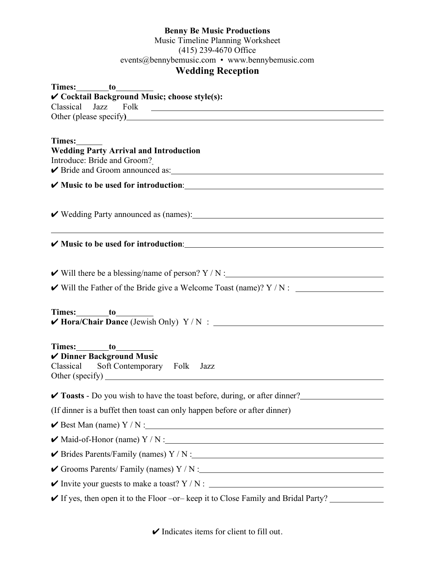### **Benny Be Music Productions**

Music Timeline Planning Worksheet (415) 239-4670 Office events@bennybemusic.com • www.bennybemusic.com **Wedding Reception**

| ✔ Cocktail Background Music; choose style(s):                                                                                                                                            |
|------------------------------------------------------------------------------------------------------------------------------------------------------------------------------------------|
|                                                                                                                                                                                          |
|                                                                                                                                                                                          |
| Times:<br><b>Wedding Party Arrival and Introduction</b><br>Introduce: Bride and Groom?<br>V Bride and Groom announced as: 1986 and Stroman Manual Assembly Bride and Groom announced as: |
|                                                                                                                                                                                          |
|                                                                                                                                                                                          |
|                                                                                                                                                                                          |
|                                                                                                                                                                                          |
| $\checkmark$ Will there be a blessing/name of person? Y / N :                                                                                                                            |
|                                                                                                                                                                                          |
|                                                                                                                                                                                          |
| ✔ Dinner Background Music<br>Classical Soft Contemporary Folk Jazz                                                                                                                       |
| <b>∕ Toasts</b> - Do you wish to have the toast before, during, or after dinner?                                                                                                         |
| (If dinner is a buffet then toast can only happen before or after dinner)                                                                                                                |
| $\checkmark$ Best Man (name) Y / N :                                                                                                                                                     |
| $\blacktriangleright$ Maid-of-Honor (name) Y / N :                                                                                                                                       |
|                                                                                                                                                                                          |
|                                                                                                                                                                                          |
|                                                                                                                                                                                          |
| ✔ If yes, then open it to the Floor -or- keep it to Close Family and Bridal Party?                                                                                                       |

 $\checkmark$  Indicates items for client to fill out.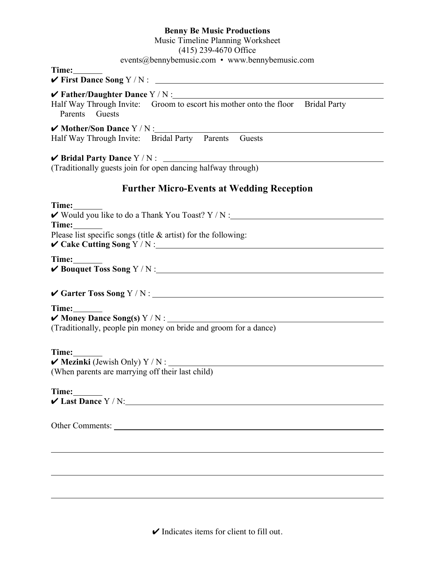### **Benny Be Music Productions**

#### Music Timeline Planning Worksheet

(415) 239-4670 Office

### events@bennybemusic.com • www.bennybemusic.com

**Time:**

✔ **First Dance Song** Y / N :

### ✔ **Father/Daughter Dance** Y / N :

Half Way Through Invite: Groom to escort his mother onto the floor Bridal Party Parents Guests

✔ **Mother/Son Dance** Y / N :

Half Way Through Invite: Bridal Party Parents Guests

### ✔ **Bridal Party Dance** Y / N :

(Traditionally guests join for open dancing halfway through)

## **Further Micro-Events at Wedding Reception**

| Time:<br>✔ Would you like to do a Thank You Toast? Y / N :                                                                                    |
|-----------------------------------------------------------------------------------------------------------------------------------------------|
| Time:<br>Please list specific songs (title $&$ artist) for the following:                                                                     |
| Time:                                                                                                                                         |
|                                                                                                                                               |
| Time:<br>$\blacktriangleright$ Money Dance Song(s) Y / N : $\blacksquare$<br>(Traditionally, people pin money on bride and groom for a dance) |
| Time:<br>(When parents are marrying off their last child)                                                                                     |
| Time:<br>$\checkmark$ Last Dance Y / N:                                                                                                       |
|                                                                                                                                               |
|                                                                                                                                               |
|                                                                                                                                               |

 $\triangleright$  Indicates items for client to fill out.